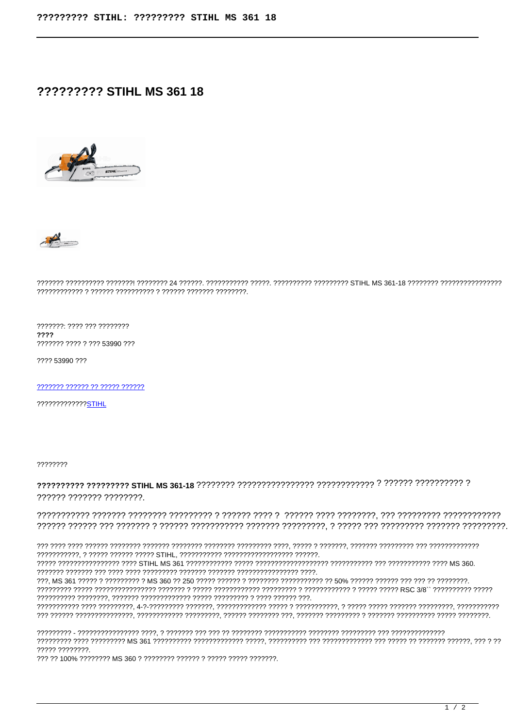# **????????? STIHL MS 361 18**





### 

???????: ???? ??? ???????? ???? ??????? ???? ? ??? 53990 ???

???? 53990 ???

7777777 777777 77 77777 777777

22222222222225TIHI

77777777

# ?????? ??????? ????????.

## 

77777 77777777

222 22 100% 22222222 MS 360 2 22222222 222222 22222 22222 2222222.